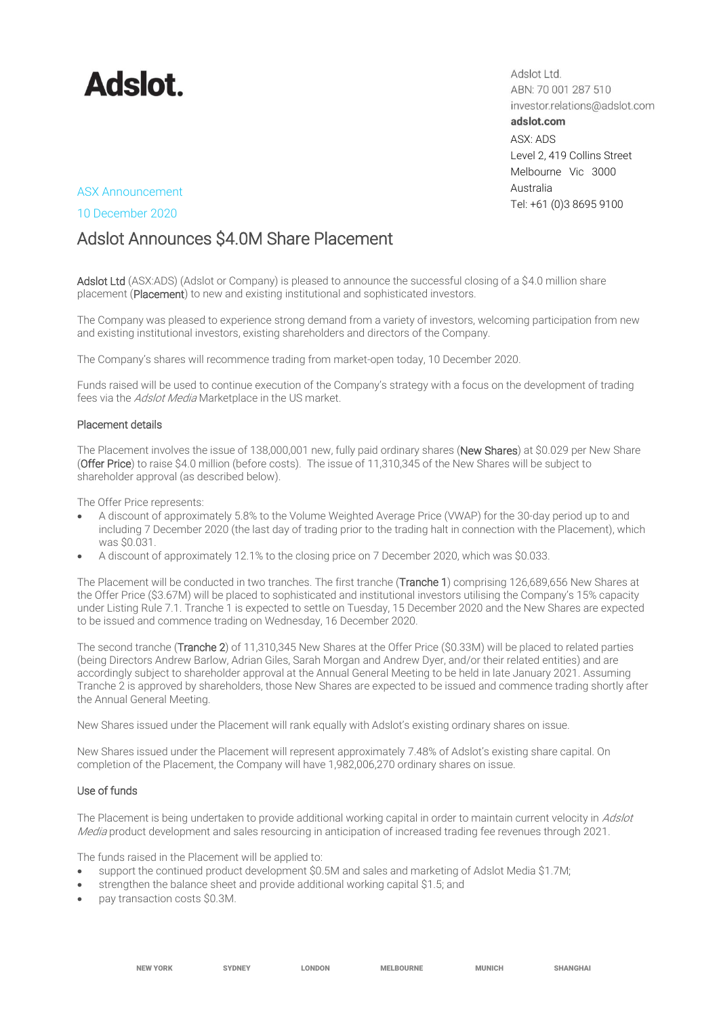

Adslot Ltd. ABN: 70 001 287 510 investor.relations@adslot.com adslot.com ASX: ADS Level 2, 419 Collins Street Melbourne Vic 3000 Australia Tel: +61 (0)3 8695 9100

## ASX Announcement

#### 10 December 2020

# Adslot Announces \$4.0M Share Placement

Adslot Ltd (ASX:ADS) (Adslot or Company) is pleased to announce the successful closing of a \$4.0 million share placement (Placement) to new and existing institutional and sophisticated investors.

The Company was pleased to experience strong demand from a variety of investors, welcoming participation from new and existing institutional investors, existing shareholders and directors of the Company.

The Company's shares will recommence trading from market-open today, 10 December 2020.

Funds raised will be used to continue execution of the Company's strategy with a focus on the development of trading fees via the Adslot Media Marketplace in the US market.

#### Placement details

The Placement involves the issue of 138,000,001 new, fully paid ordinary shares (New Shares) at \$0.029 per New Share (Offer Price) to raise \$4.0 million (before costs). The issue of 11,310,345 of the New Shares will be subject to shareholder approval (as described below).

The Offer Price represents:

- A discount of approximately 5.8% to the Volume Weighted Average Price (VWAP) for the 30-day period up to and including 7 December 2020 (the last day of trading prior to the trading halt in connection with the Placement), which was \$0.031.
- A discount of approximately 12.1% to the closing price on 7 December 2020, which was \$0.033.

The Placement will be conducted in two tranches. The first tranche (Tranche 1) comprising 126,689,656 New Shares at the Offer Price (\$3.67M) will be placed to sophisticated and institutional investors utilising the Company's 15% capacity under Listing Rule 7.1. Tranche 1 is expected to settle on Tuesday, 15 December 2020 and the New Shares are expected to be issued and commence trading on Wednesday, 16 December 2020.

The second tranche (Tranche 2) of 11,310,345 New Shares at the Offer Price (\$0.33M) will be placed to related parties (being Directors Andrew Barlow, Adrian Giles, Sarah Morgan and Andrew Dyer, and/or their related entities) and are accordingly subject to shareholder approval at the Annual General Meeting to be held in late January 2021. Assuming Tranche 2 is approved by shareholders, those New Shares are expected to be issued and commence trading shortly after the Annual General Meeting.

New Shares issued under the Placement will rank equally with Adslot's existing ordinary shares on issue.

New Shares issued under the Placement will represent approximately 7.48% of Adslot's existing share capital. On completion of the Placement, the Company will have 1,982,006,270 ordinary shares on issue.

#### Use of funds

The Placement is being undertaken to provide additional working capital in order to maintain current velocity in Adslot Media product development and sales resourcing in anticipation of increased trading fee revenues through 2021.

The funds raised in the Placement will be applied to:

- support the continued product development \$0.5M and sales and marketing of Adslot Media \$1.7M;
- strengthen the balance sheet and provide additional working capital \$1.5; and
- pay transaction costs \$0.3M.

NEW YORK SYDNEY LONDON MELBOURNE MUNICH SHANGHAI